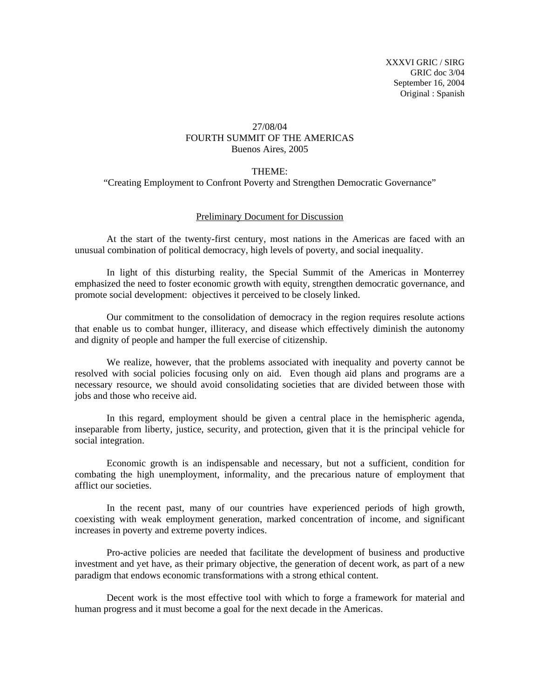## 27/08/04 FOURTH SUMMIT OF THE AMERICAS Buenos Aires, 2005

## THEME:

"Creating Employment to Confront Poverty and Strengthen Democratic Governance"

## Preliminary Document for Discussion

 At the start of the twenty-first century, most nations in the Americas are faced with an unusual combination of political democracy, high levels of poverty, and social inequality.

 In light of this disturbing reality, the Special Summit of the Americas in Monterrey emphasized the need to foster economic growth with equity, strengthen democratic governance, and promote social development: objectives it perceived to be closely linked.

 Our commitment to the consolidation of democracy in the region requires resolute actions that enable us to combat hunger, illiteracy, and disease which effectively diminish the autonomy and dignity of people and hamper the full exercise of citizenship.

 We realize, however, that the problems associated with inequality and poverty cannot be resolved with social policies focusing only on aid. Even though aid plans and programs are a necessary resource, we should avoid consolidating societies that are divided between those with jobs and those who receive aid.

 In this regard, employment should be given a central place in the hemispheric agenda, inseparable from liberty, justice, security, and protection, given that it is the principal vehicle for social integration.

 Economic growth is an indispensable and necessary, but not a sufficient, condition for combating the high unemployment, informality, and the precarious nature of employment that afflict our societies.

 In the recent past, many of our countries have experienced periods of high growth, coexisting with weak employment generation, marked concentration of income, and significant increases in poverty and extreme poverty indices.

 Pro-active policies are needed that facilitate the development of business and productive investment and yet have, as their primary objective, the generation of decent work, as part of a new paradigm that endows economic transformations with a strong ethical content.

 Decent work is the most effective tool with which to forge a framework for material and human progress and it must become a goal for the next decade in the Americas.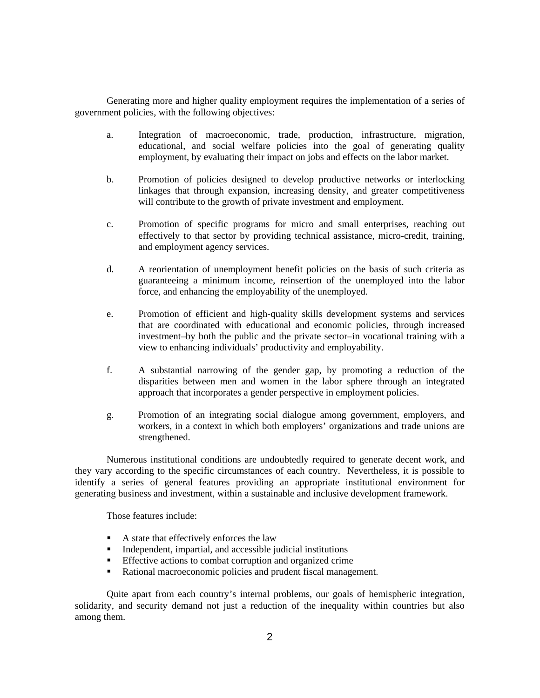Generating more and higher quality employment requires the implementation of a series of government policies, with the following objectives:

- a. Integration of macroeconomic, trade, production, infrastructure, migration, educational, and social welfare policies into the goal of generating quality employment, by evaluating their impact on jobs and effects on the labor market.
- b. Promotion of policies designed to develop productive networks or interlocking linkages that through expansion, increasing density, and greater competitiveness will contribute to the growth of private investment and employment.
- c. Promotion of specific programs for micro and small enterprises, reaching out effectively to that sector by providing technical assistance, micro-credit, training, and employment agency services.
- d. A reorientation of unemployment benefit policies on the basis of such criteria as guaranteeing a minimum income, reinsertion of the unemployed into the labor force, and enhancing the employability of the unemployed.
- e. Promotion of efficient and high-quality skills development systems and services that are coordinated with educational and economic policies, through increased investment–by both the public and the private sector–in vocational training with a view to enhancing individuals' productivity and employability.
- f. A substantial narrowing of the gender gap, by promoting a reduction of the disparities between men and women in the labor sphere through an integrated approach that incorporates a gender perspective in employment policies.
- g. Promotion of an integrating social dialogue among government, employers, and workers, in a context in which both employers' organizations and trade unions are strengthened.

 Numerous institutional conditions are undoubtedly required to generate decent work, and they vary according to the specific circumstances of each country. Nevertheless, it is possible to identify a series of general features providing an appropriate institutional environment for generating business and investment, within a sustainable and inclusive development framework.

Those features include:

- A state that effectively enforces the law
- $\blacksquare$  Independent, impartial, and accessible judicial institutions
- **Effective actions to combat corruption and organized crime**
- Rational macroeconomic policies and prudent fiscal management.

 Quite apart from each country's internal problems, our goals of hemispheric integration, solidarity, and security demand not just a reduction of the inequality within countries but also among them.